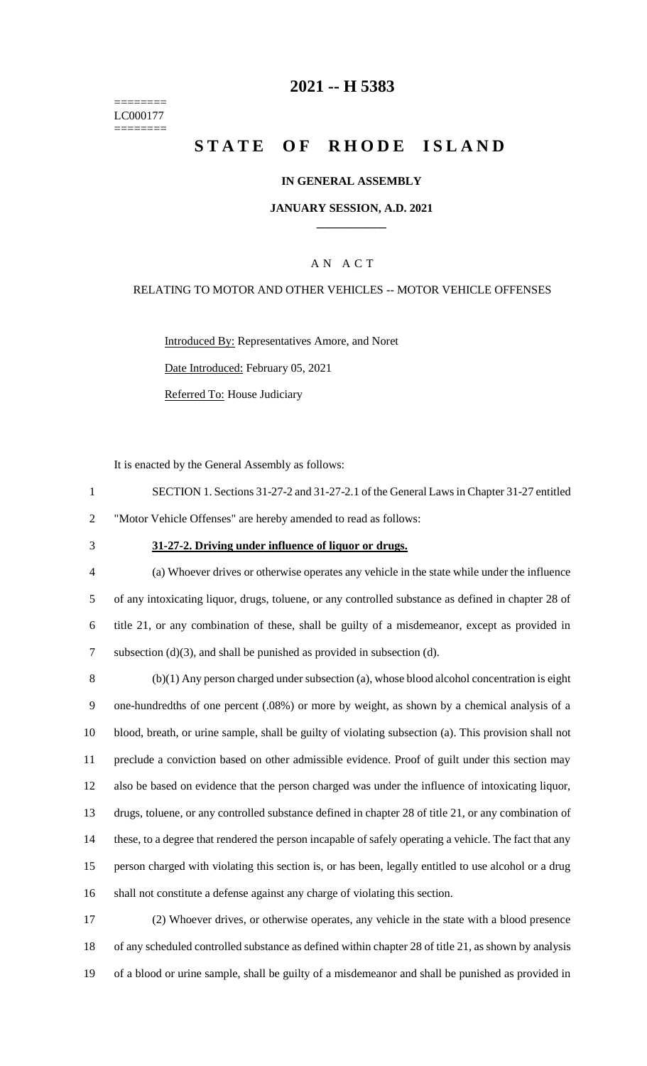======== LC000177 ========

# **-- H 5383**

# **STATE OF RHODE ISLAND**

### **IN GENERAL ASSEMBLY**

### **JANUARY SESSION, A.D. 2021 \_\_\_\_\_\_\_\_\_\_\_\_**

### A N A C T

### RELATING TO MOTOR AND OTHER VEHICLES -- MOTOR VEHICLE OFFENSES

Introduced By: Representatives Amore, and Noret Date Introduced: February 05, 2021

Referred To: House Judiciary

It is enacted by the General Assembly as follows:

- SECTION 1. Sections 31-27-2 and 31-27-2.1 of the General Laws in Chapter 31-27 entitled "Motor Vehicle Offenses" are hereby amended to read as follows:
- 

#### **31-27-2. Driving under influence of liquor or drugs.**

 (a) Whoever drives or otherwise operates any vehicle in the state while under the influence of any intoxicating liquor, drugs, toluene, or any controlled substance as defined in chapter 28 of title 21, or any combination of these, shall be guilty of a misdemeanor, except as provided in subsection (d)(3), and shall be punished as provided in subsection (d).

 (b)(1) Any person charged under subsection (a), whose blood alcohol concentration is eight one-hundredths of one percent (.08%) or more by weight, as shown by a chemical analysis of a blood, breath, or urine sample, shall be guilty of violating subsection (a). This provision shall not preclude a conviction based on other admissible evidence. Proof of guilt under this section may also be based on evidence that the person charged was under the influence of intoxicating liquor, drugs, toluene, or any controlled substance defined in chapter 28 of title 21, or any combination of these, to a degree that rendered the person incapable of safely operating a vehicle. The fact that any person charged with violating this section is, or has been, legally entitled to use alcohol or a drug shall not constitute a defense against any charge of violating this section.

 (2) Whoever drives, or otherwise operates, any vehicle in the state with a blood presence of any scheduled controlled substance as defined within chapter 28 of title 21, as shown by analysis of a blood or urine sample, shall be guilty of a misdemeanor and shall be punished as provided in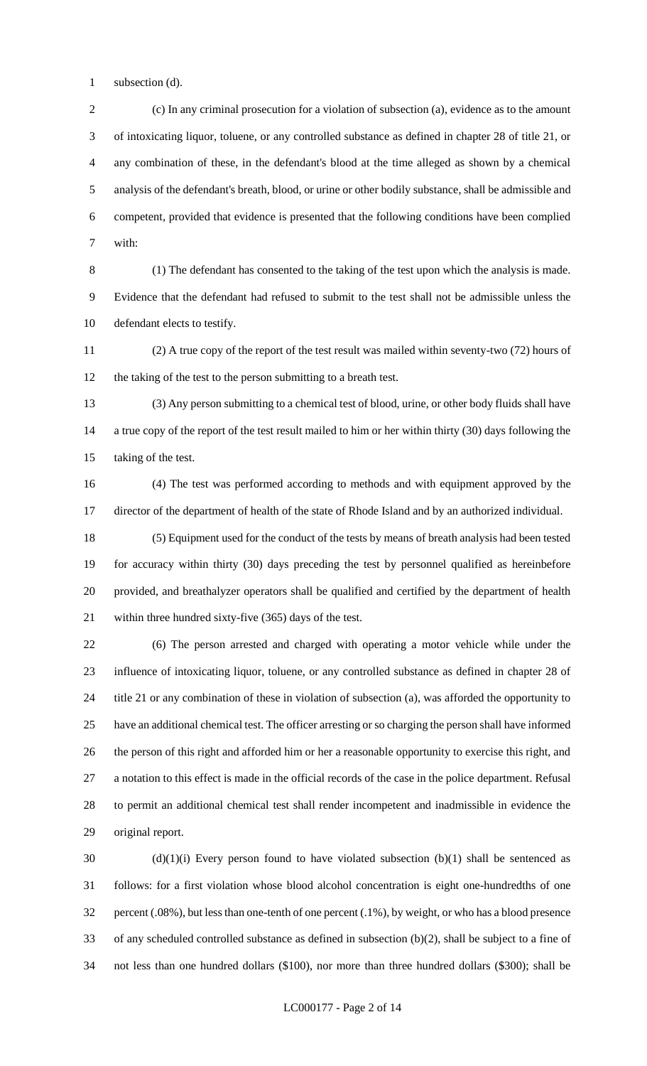subsection (d).

 (c) In any criminal prosecution for a violation of subsection (a), evidence as to the amount of intoxicating liquor, toluene, or any controlled substance as defined in chapter 28 of title 21, or any combination of these, in the defendant's blood at the time alleged as shown by a chemical analysis of the defendant's breath, blood, or urine or other bodily substance, shall be admissible and competent, provided that evidence is presented that the following conditions have been complied with:

 (1) The defendant has consented to the taking of the test upon which the analysis is made. Evidence that the defendant had refused to submit to the test shall not be admissible unless the defendant elects to testify.

 (2) A true copy of the report of the test result was mailed within seventy-two (72) hours of the taking of the test to the person submitting to a breath test.

 (3) Any person submitting to a chemical test of blood, urine, or other body fluids shall have a true copy of the report of the test result mailed to him or her within thirty (30) days following the taking of the test.

 (4) The test was performed according to methods and with equipment approved by the director of the department of health of the state of Rhode Island and by an authorized individual.

 (5) Equipment used for the conduct of the tests by means of breath analysis had been tested for accuracy within thirty (30) days preceding the test by personnel qualified as hereinbefore provided, and breathalyzer operators shall be qualified and certified by the department of health within three hundred sixty-five (365) days of the test.

 (6) The person arrested and charged with operating a motor vehicle while under the influence of intoxicating liquor, toluene, or any controlled substance as defined in chapter 28 of title 21 or any combination of these in violation of subsection (a), was afforded the opportunity to have an additional chemical test. The officer arresting or so charging the person shall have informed the person of this right and afforded him or her a reasonable opportunity to exercise this right, and a notation to this effect is made in the official records of the case in the police department. Refusal to permit an additional chemical test shall render incompetent and inadmissible in evidence the original report.

 (d)(1)(i) Every person found to have violated subsection (b)(1) shall be sentenced as follows: for a first violation whose blood alcohol concentration is eight one-hundredths of one percent (.08%), but less than one-tenth of one percent (.1%), by weight, or who has a blood presence of any scheduled controlled substance as defined in subsection (b)(2), shall be subject to a fine of not less than one hundred dollars (\$100), nor more than three hundred dollars (\$300); shall be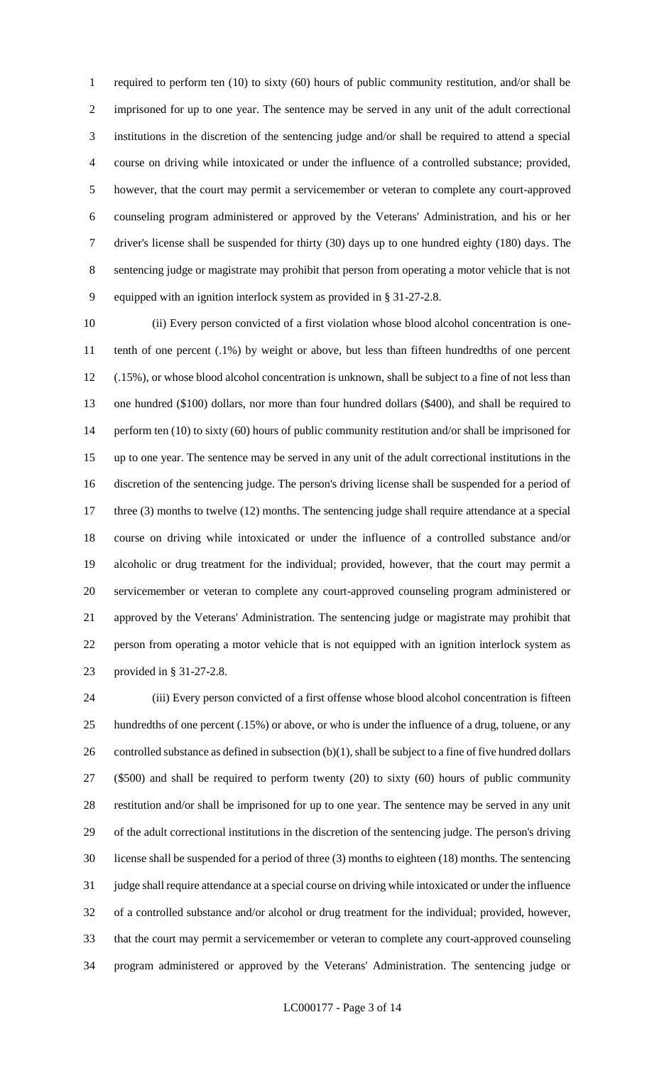required to perform ten (10) to sixty (60) hours of public community restitution, and/or shall be imprisoned for up to one year. The sentence may be served in any unit of the adult correctional institutions in the discretion of the sentencing judge and/or shall be required to attend a special course on driving while intoxicated or under the influence of a controlled substance; provided, however, that the court may permit a servicemember or veteran to complete any court-approved counseling program administered or approved by the Veterans' Administration, and his or her driver's license shall be suspended for thirty (30) days up to one hundred eighty (180) days. The sentencing judge or magistrate may prohibit that person from operating a motor vehicle that is not equipped with an ignition interlock system as provided in § 31-27-2.8.

 (ii) Every person convicted of a first violation whose blood alcohol concentration is one- tenth of one percent (.1%) by weight or above, but less than fifteen hundredths of one percent (.15%), or whose blood alcohol concentration is unknown, shall be subject to a fine of not less than one hundred (\$100) dollars, nor more than four hundred dollars (\$400), and shall be required to perform ten (10) to sixty (60) hours of public community restitution and/or shall be imprisoned for up to one year. The sentence may be served in any unit of the adult correctional institutions in the discretion of the sentencing judge. The person's driving license shall be suspended for a period of 17 three (3) months to twelve (12) months. The sentencing judge shall require attendance at a special course on driving while intoxicated or under the influence of a controlled substance and/or alcoholic or drug treatment for the individual; provided, however, that the court may permit a servicemember or veteran to complete any court-approved counseling program administered or approved by the Veterans' Administration. The sentencing judge or magistrate may prohibit that person from operating a motor vehicle that is not equipped with an ignition interlock system as provided in § 31-27-2.8.

 (iii) Every person convicted of a first offense whose blood alcohol concentration is fifteen hundredths of one percent (.15%) or above, or who is under the influence of a drug, toluene, or any 26 controlled substance as defined in subsection  $(b)(1)$ , shall be subject to a fine of five hundred dollars (\$500) and shall be required to perform twenty (20) to sixty (60) hours of public community restitution and/or shall be imprisoned for up to one year. The sentence may be served in any unit of the adult correctional institutions in the discretion of the sentencing judge. The person's driving license shall be suspended for a period of three (3) months to eighteen (18) months. The sentencing judge shall require attendance at a special course on driving while intoxicated or under the influence of a controlled substance and/or alcohol or drug treatment for the individual; provided, however, that the court may permit a servicemember or veteran to complete any court-approved counseling program administered or approved by the Veterans' Administration. The sentencing judge or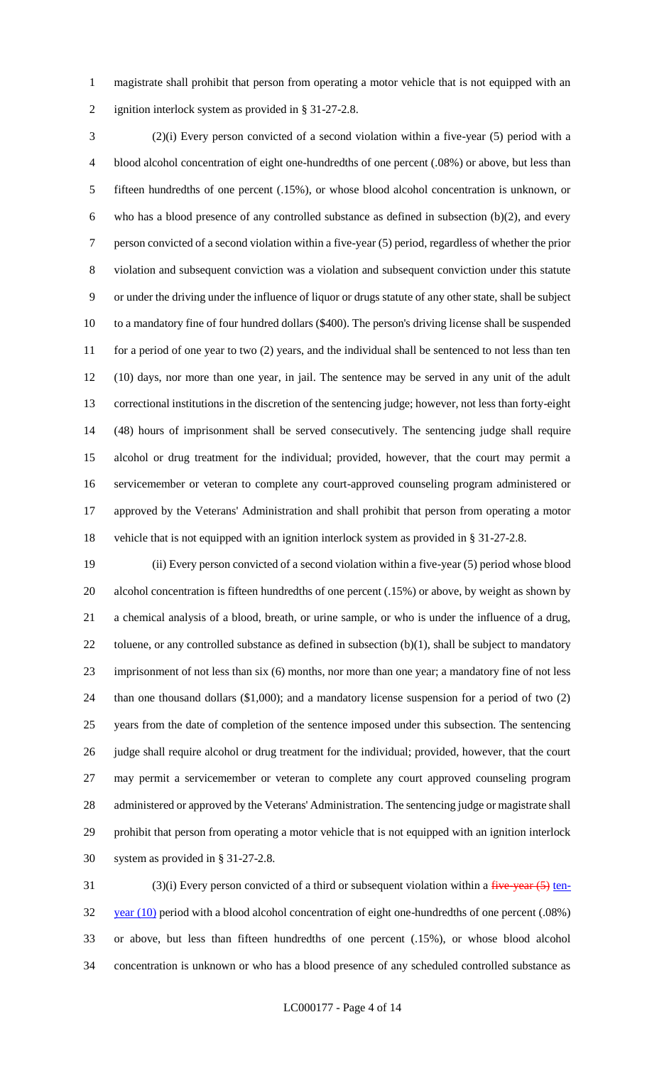magistrate shall prohibit that person from operating a motor vehicle that is not equipped with an ignition interlock system as provided in § 31-27-2.8.

 (2)(i) Every person convicted of a second violation within a five-year (5) period with a blood alcohol concentration of eight one-hundredths of one percent (.08%) or above, but less than fifteen hundredths of one percent (.15%), or whose blood alcohol concentration is unknown, or who has a blood presence of any controlled substance as defined in subsection (b)(2), and every person convicted of a second violation within a five-year (5) period, regardless of whether the prior violation and subsequent conviction was a violation and subsequent conviction under this statute or under the driving under the influence of liquor or drugs statute of any other state, shall be subject to a mandatory fine of four hundred dollars (\$400). The person's driving license shall be suspended 11 for a period of one year to two (2) years, and the individual shall be sentenced to not less than ten (10) days, nor more than one year, in jail. The sentence may be served in any unit of the adult correctional institutions in the discretion of the sentencing judge; however, not less than forty-eight (48) hours of imprisonment shall be served consecutively. The sentencing judge shall require alcohol or drug treatment for the individual; provided, however, that the court may permit a servicemember or veteran to complete any court-approved counseling program administered or approved by the Veterans' Administration and shall prohibit that person from operating a motor vehicle that is not equipped with an ignition interlock system as provided in § 31-27-2.8.

 (ii) Every person convicted of a second violation within a five-year (5) period whose blood alcohol concentration is fifteen hundredths of one percent (.15%) or above, by weight as shown by a chemical analysis of a blood, breath, or urine sample, or who is under the influence of a drug, 22 toluene, or any controlled substance as defined in subsection (b)(1), shall be subject to mandatory imprisonment of not less than six (6) months, nor more than one year; a mandatory fine of not less than one thousand dollars (\$1,000); and a mandatory license suspension for a period of two (2) years from the date of completion of the sentence imposed under this subsection. The sentencing judge shall require alcohol or drug treatment for the individual; provided, however, that the court may permit a servicemember or veteran to complete any court approved counseling program administered or approved by the Veterans' Administration. The sentencing judge or magistrate shall prohibit that person from operating a motor vehicle that is not equipped with an ignition interlock system as provided in § 31-27-2.8.

31 (3)(i) Every person convicted of a third or subsequent violation within a  $f^2$  iver-32 year (10) period with a blood alcohol concentration of eight one-hundredths of one percent (.08%) or above, but less than fifteen hundredths of one percent (.15%), or whose blood alcohol concentration is unknown or who has a blood presence of any scheduled controlled substance as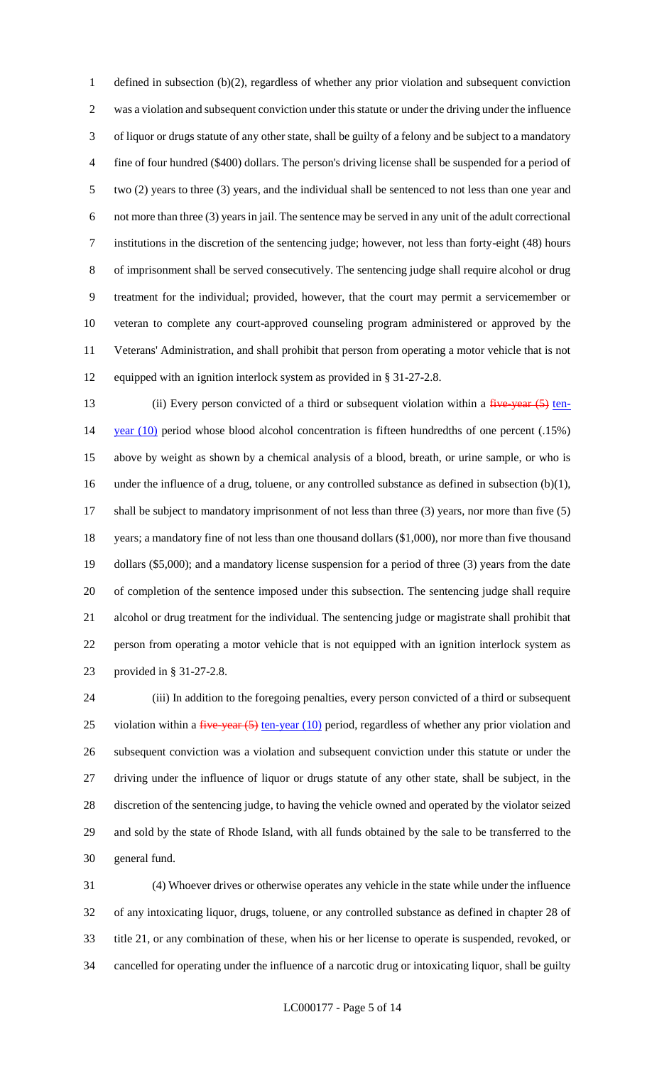defined in subsection (b)(2), regardless of whether any prior violation and subsequent conviction was a violation and subsequent conviction under this statute or under the driving under the influence of liquor or drugs statute of any other state, shall be guilty of a felony and be subject to a mandatory fine of four hundred (\$400) dollars. The person's driving license shall be suspended for a period of two (2) years to three (3) years, and the individual shall be sentenced to not less than one year and not more than three (3) years in jail. The sentence may be served in any unit of the adult correctional institutions in the discretion of the sentencing judge; however, not less than forty-eight (48) hours of imprisonment shall be served consecutively. The sentencing judge shall require alcohol or drug treatment for the individual; provided, however, that the court may permit a servicemember or veteran to complete any court-approved counseling program administered or approved by the Veterans' Administration, and shall prohibit that person from operating a motor vehicle that is not equipped with an ignition interlock system as provided in § 31-27-2.8.

13 (ii) Every person convicted of a third or subsequent violation within a five-year (5) ten-14 year (10) period whose blood alcohol concentration is fifteen hundredths of one percent (.15%) above by weight as shown by a chemical analysis of a blood, breath, or urine sample, or who is under the influence of a drug, toluene, or any controlled substance as defined in subsection (b)(1), shall be subject to mandatory imprisonment of not less than three (3) years, nor more than five (5) years; a mandatory fine of not less than one thousand dollars (\$1,000), nor more than five thousand dollars (\$5,000); and a mandatory license suspension for a period of three (3) years from the date of completion of the sentence imposed under this subsection. The sentencing judge shall require alcohol or drug treatment for the individual. The sentencing judge or magistrate shall prohibit that person from operating a motor vehicle that is not equipped with an ignition interlock system as provided in § 31-27-2.8.

 (iii) In addition to the foregoing penalties, every person convicted of a third or subsequent 25 violation within a  $\frac{f^2}{f^2}$  vear  $\left(\frac{f^2}{f^2}\right)$  ten-year  $\left(\frac{10}{2}\right)$  period, regardless of whether any prior violation and subsequent conviction was a violation and subsequent conviction under this statute or under the driving under the influence of liquor or drugs statute of any other state, shall be subject, in the discretion of the sentencing judge, to having the vehicle owned and operated by the violator seized and sold by the state of Rhode Island, with all funds obtained by the sale to be transferred to the general fund.

 (4) Whoever drives or otherwise operates any vehicle in the state while under the influence of any intoxicating liquor, drugs, toluene, or any controlled substance as defined in chapter 28 of title 21, or any combination of these, when his or her license to operate is suspended, revoked, or cancelled for operating under the influence of a narcotic drug or intoxicating liquor, shall be guilty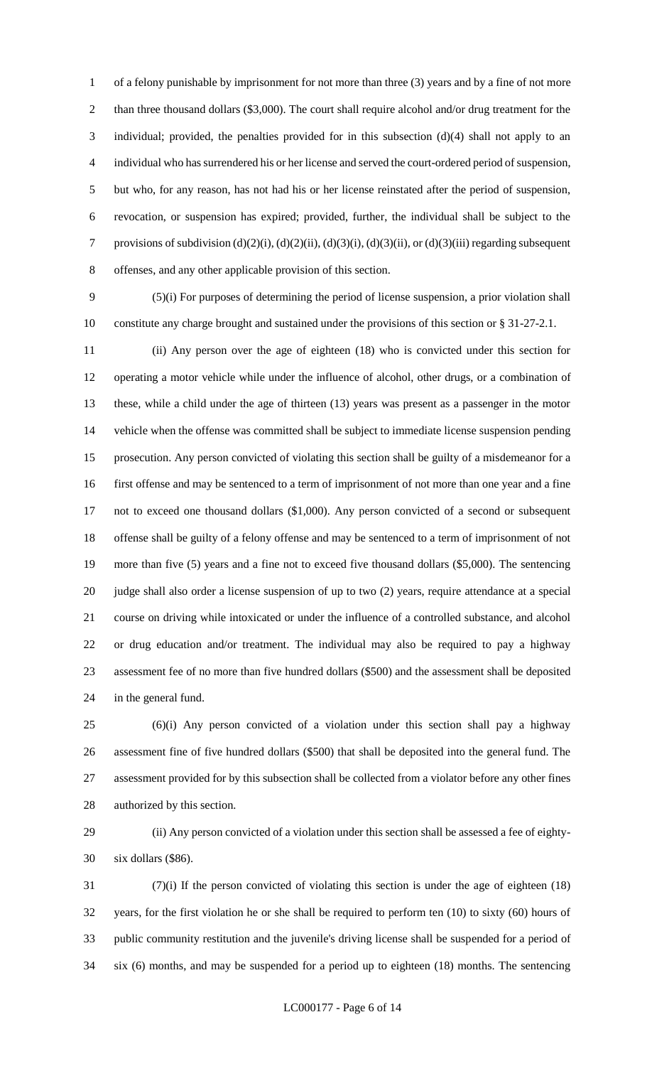of a felony punishable by imprisonment for not more than three (3) years and by a fine of not more 2 than three thousand dollars (\$3,000). The court shall require alcohol and/or drug treatment for the individual; provided, the penalties provided for in this subsection (d)(4) shall not apply to an individual who has surrendered his or her license and served the court-ordered period of suspension, but who, for any reason, has not had his or her license reinstated after the period of suspension, revocation, or suspension has expired; provided, further, the individual shall be subject to the provisions of subdivision (d)(2)(i), (d)(2)(ii), (d)(3)(i), (d)(3)(ii), or (d)(3)(iii) regarding subsequent offenses, and any other applicable provision of this section.

 (5)(i) For purposes of determining the period of license suspension, a prior violation shall constitute any charge brought and sustained under the provisions of this section or § 31-27-2.1.

 (ii) Any person over the age of eighteen (18) who is convicted under this section for operating a motor vehicle while under the influence of alcohol, other drugs, or a combination of these, while a child under the age of thirteen (13) years was present as a passenger in the motor vehicle when the offense was committed shall be subject to immediate license suspension pending prosecution. Any person convicted of violating this section shall be guilty of a misdemeanor for a first offense and may be sentenced to a term of imprisonment of not more than one year and a fine not to exceed one thousand dollars (\$1,000). Any person convicted of a second or subsequent offense shall be guilty of a felony offense and may be sentenced to a term of imprisonment of not more than five (5) years and a fine not to exceed five thousand dollars (\$5,000). The sentencing judge shall also order a license suspension of up to two (2) years, require attendance at a special course on driving while intoxicated or under the influence of a controlled substance, and alcohol or drug education and/or treatment. The individual may also be required to pay a highway assessment fee of no more than five hundred dollars (\$500) and the assessment shall be deposited in the general fund.

 (6)(i) Any person convicted of a violation under this section shall pay a highway assessment fine of five hundred dollars (\$500) that shall be deposited into the general fund. The assessment provided for by this subsection shall be collected from a violator before any other fines authorized by this section.

 (ii) Any person convicted of a violation under this section shall be assessed a fee of eighty-six dollars (\$86).

 (7)(i) If the person convicted of violating this section is under the age of eighteen (18) years, for the first violation he or she shall be required to perform ten (10) to sixty (60) hours of public community restitution and the juvenile's driving license shall be suspended for a period of six (6) months, and may be suspended for a period up to eighteen (18) months. The sentencing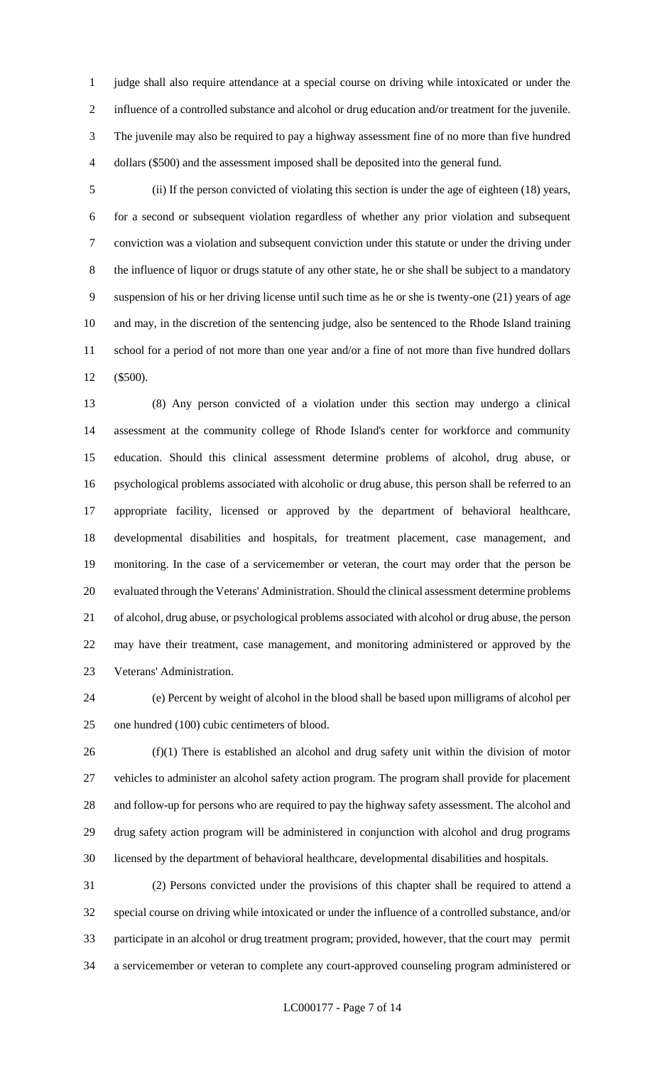judge shall also require attendance at a special course on driving while intoxicated or under the influence of a controlled substance and alcohol or drug education and/or treatment for the juvenile. The juvenile may also be required to pay a highway assessment fine of no more than five hundred dollars (\$500) and the assessment imposed shall be deposited into the general fund.

 (ii) If the person convicted of violating this section is under the age of eighteen (18) years, for a second or subsequent violation regardless of whether any prior violation and subsequent conviction was a violation and subsequent conviction under this statute or under the driving under the influence of liquor or drugs statute of any other state, he or she shall be subject to a mandatory suspension of his or her driving license until such time as he or she is twenty-one (21) years of age and may, in the discretion of the sentencing judge, also be sentenced to the Rhode Island training school for a period of not more than one year and/or a fine of not more than five hundred dollars (\$500).

 (8) Any person convicted of a violation under this section may undergo a clinical assessment at the community college of Rhode Island's center for workforce and community education. Should this clinical assessment determine problems of alcohol, drug abuse, or psychological problems associated with alcoholic or drug abuse, this person shall be referred to an appropriate facility, licensed or approved by the department of behavioral healthcare, developmental disabilities and hospitals, for treatment placement, case management, and monitoring. In the case of a servicemember or veteran, the court may order that the person be evaluated through the Veterans' Administration. Should the clinical assessment determine problems of alcohol, drug abuse, or psychological problems associated with alcohol or drug abuse, the person may have their treatment, case management, and monitoring administered or approved by the Veterans' Administration.

 (e) Percent by weight of alcohol in the blood shall be based upon milligrams of alcohol per one hundred (100) cubic centimeters of blood.

 (f)(1) There is established an alcohol and drug safety unit within the division of motor vehicles to administer an alcohol safety action program. The program shall provide for placement and follow-up for persons who are required to pay the highway safety assessment. The alcohol and drug safety action program will be administered in conjunction with alcohol and drug programs licensed by the department of behavioral healthcare, developmental disabilities and hospitals.

 (2) Persons convicted under the provisions of this chapter shall be required to attend a special course on driving while intoxicated or under the influence of a controlled substance, and/or participate in an alcohol or drug treatment program; provided, however, that the court may permit a servicemember or veteran to complete any court-approved counseling program administered or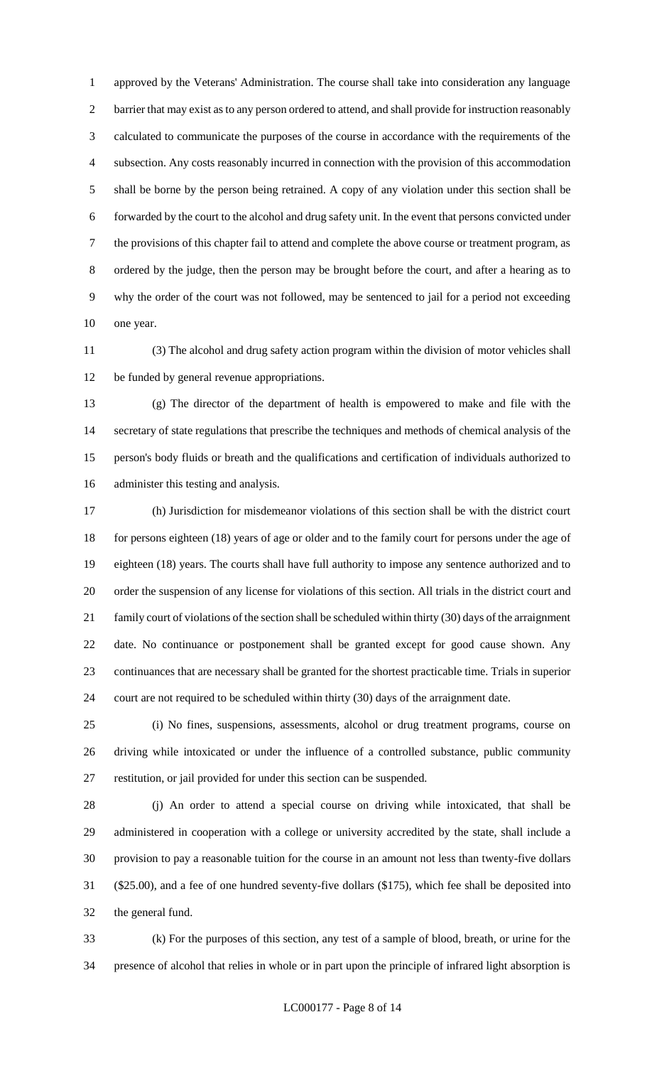approved by the Veterans' Administration. The course shall take into consideration any language barrier that may exist as to any person ordered to attend, and shall provide for instruction reasonably calculated to communicate the purposes of the course in accordance with the requirements of the subsection. Any costs reasonably incurred in connection with the provision of this accommodation shall be borne by the person being retrained. A copy of any violation under this section shall be forwarded by the court to the alcohol and drug safety unit. In the event that persons convicted under the provisions of this chapter fail to attend and complete the above course or treatment program, as ordered by the judge, then the person may be brought before the court, and after a hearing as to why the order of the court was not followed, may be sentenced to jail for a period not exceeding one year.

 (3) The alcohol and drug safety action program within the division of motor vehicles shall be funded by general revenue appropriations.

 (g) The director of the department of health is empowered to make and file with the secretary of state regulations that prescribe the techniques and methods of chemical analysis of the person's body fluids or breath and the qualifications and certification of individuals authorized to administer this testing and analysis.

 (h) Jurisdiction for misdemeanor violations of this section shall be with the district court for persons eighteen (18) years of age or older and to the family court for persons under the age of eighteen (18) years. The courts shall have full authority to impose any sentence authorized and to order the suspension of any license for violations of this section. All trials in the district court and family court of violations of the section shall be scheduled within thirty (30) days of the arraignment date. No continuance or postponement shall be granted except for good cause shown. Any continuances that are necessary shall be granted for the shortest practicable time. Trials in superior court are not required to be scheduled within thirty (30) days of the arraignment date.

 (i) No fines, suspensions, assessments, alcohol or drug treatment programs, course on driving while intoxicated or under the influence of a controlled substance, public community restitution, or jail provided for under this section can be suspended.

 (j) An order to attend a special course on driving while intoxicated, that shall be administered in cooperation with a college or university accredited by the state, shall include a provision to pay a reasonable tuition for the course in an amount not less than twenty-five dollars (\$25.00), and a fee of one hundred seventy-five dollars (\$175), which fee shall be deposited into the general fund.

 (k) For the purposes of this section, any test of a sample of blood, breath, or urine for the presence of alcohol that relies in whole or in part upon the principle of infrared light absorption is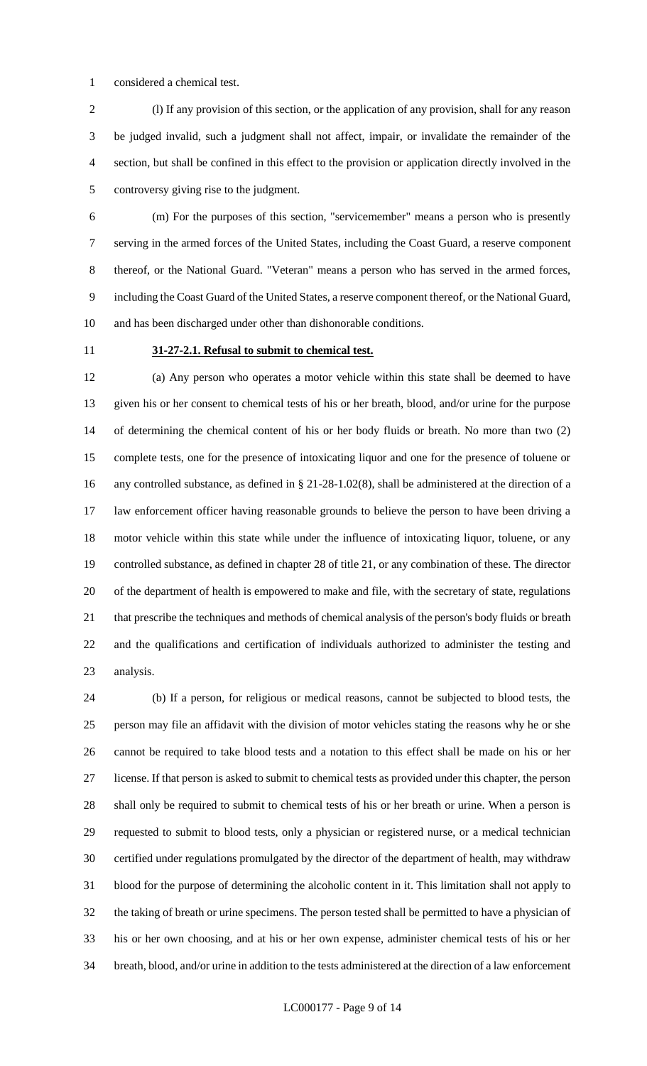considered a chemical test.

 (l) If any provision of this section, or the application of any provision, shall for any reason be judged invalid, such a judgment shall not affect, impair, or invalidate the remainder of the section, but shall be confined in this effect to the provision or application directly involved in the controversy giving rise to the judgment.

 (m) For the purposes of this section, "servicemember" means a person who is presently serving in the armed forces of the United States, including the Coast Guard, a reserve component thereof, or the National Guard. "Veteran" means a person who has served in the armed forces, including the Coast Guard of the United States, a reserve component thereof, or the National Guard, and has been discharged under other than dishonorable conditions.

#### **31-27-2.1. Refusal to submit to chemical test.**

 (a) Any person who operates a motor vehicle within this state shall be deemed to have given his or her consent to chemical tests of his or her breath, blood, and/or urine for the purpose of determining the chemical content of his or her body fluids or breath. No more than two (2) complete tests, one for the presence of intoxicating liquor and one for the presence of toluene or any controlled substance, as defined in § 21-28-1.02(8), shall be administered at the direction of a law enforcement officer having reasonable grounds to believe the person to have been driving a motor vehicle within this state while under the influence of intoxicating liquor, toluene, or any controlled substance, as defined in chapter 28 of title 21, or any combination of these. The director of the department of health is empowered to make and file, with the secretary of state, regulations that prescribe the techniques and methods of chemical analysis of the person's body fluids or breath and the qualifications and certification of individuals authorized to administer the testing and analysis.

 (b) If a person, for religious or medical reasons, cannot be subjected to blood tests, the person may file an affidavit with the division of motor vehicles stating the reasons why he or she cannot be required to take blood tests and a notation to this effect shall be made on his or her license. If that person is asked to submit to chemical tests as provided under this chapter, the person shall only be required to submit to chemical tests of his or her breath or urine. When a person is requested to submit to blood tests, only a physician or registered nurse, or a medical technician certified under regulations promulgated by the director of the department of health, may withdraw blood for the purpose of determining the alcoholic content in it. This limitation shall not apply to the taking of breath or urine specimens. The person tested shall be permitted to have a physician of his or her own choosing, and at his or her own expense, administer chemical tests of his or her breath, blood, and/or urine in addition to the tests administered at the direction of a law enforcement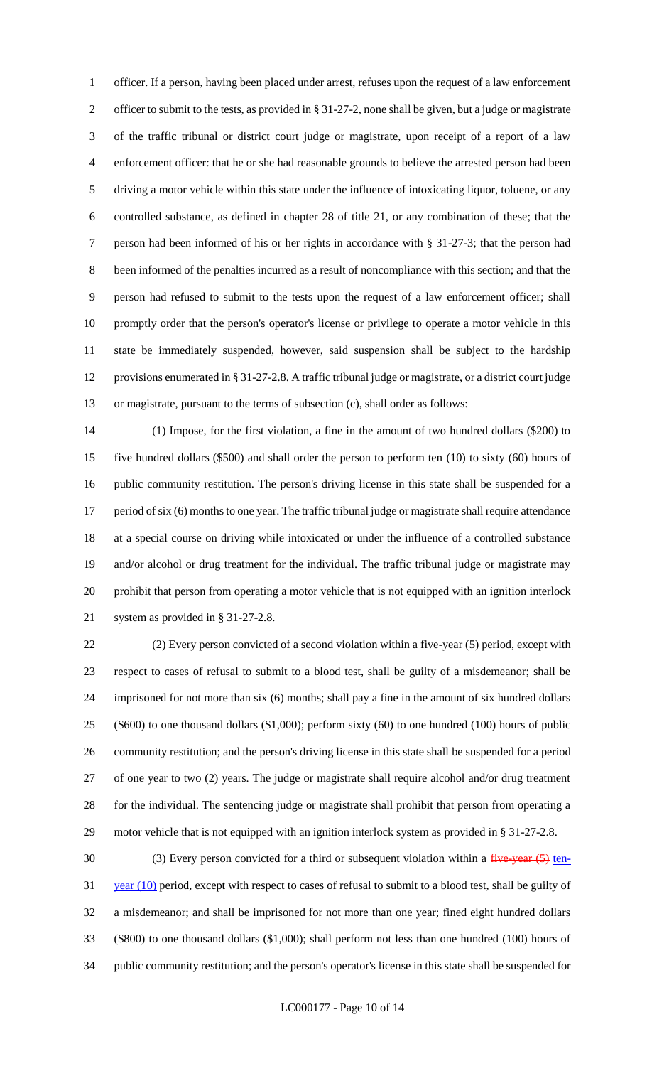officer. If a person, having been placed under arrest, refuses upon the request of a law enforcement 2 officer to submit to the tests, as provided in § 31-27-2, none shall be given, but a judge or magistrate of the traffic tribunal or district court judge or magistrate, upon receipt of a report of a law enforcement officer: that he or she had reasonable grounds to believe the arrested person had been driving a motor vehicle within this state under the influence of intoxicating liquor, toluene, or any controlled substance, as defined in chapter 28 of title 21, or any combination of these; that the person had been informed of his or her rights in accordance with § 31-27-3; that the person had been informed of the penalties incurred as a result of noncompliance with this section; and that the person had refused to submit to the tests upon the request of a law enforcement officer; shall promptly order that the person's operator's license or privilege to operate a motor vehicle in this state be immediately suspended, however, said suspension shall be subject to the hardship provisions enumerated in § 31-27-2.8. A traffic tribunal judge or magistrate, or a district court judge or magistrate, pursuant to the terms of subsection (c), shall order as follows:

 (1) Impose, for the first violation, a fine in the amount of two hundred dollars (\$200) to five hundred dollars (\$500) and shall order the person to perform ten (10) to sixty (60) hours of public community restitution. The person's driving license in this state shall be suspended for a 17 period of six (6) months to one year. The traffic tribunal judge or magistrate shall require attendance at a special course on driving while intoxicated or under the influence of a controlled substance and/or alcohol or drug treatment for the individual. The traffic tribunal judge or magistrate may prohibit that person from operating a motor vehicle that is not equipped with an ignition interlock system as provided in § 31-27-2.8.

 (2) Every person convicted of a second violation within a five-year (5) period, except with respect to cases of refusal to submit to a blood test, shall be guilty of a misdemeanor; shall be imprisoned for not more than six (6) months; shall pay a fine in the amount of six hundred dollars (\$600) to one thousand dollars (\$1,000); perform sixty (60) to one hundred (100) hours of public community restitution; and the person's driving license in this state shall be suspended for a period of one year to two (2) years. The judge or magistrate shall require alcohol and/or drug treatment for the individual. The sentencing judge or magistrate shall prohibit that person from operating a motor vehicle that is not equipped with an ignition interlock system as provided in § 31-27-2.8.

30 (3) Every person convicted for a third or subsequent violation within a five-year (5) ten-31 year (10) period, except with respect to cases of refusal to submit to a blood test, shall be guilty of a misdemeanor; and shall be imprisoned for not more than one year; fined eight hundred dollars (\$800) to one thousand dollars (\$1,000); shall perform not less than one hundred (100) hours of public community restitution; and the person's operator's license in this state shall be suspended for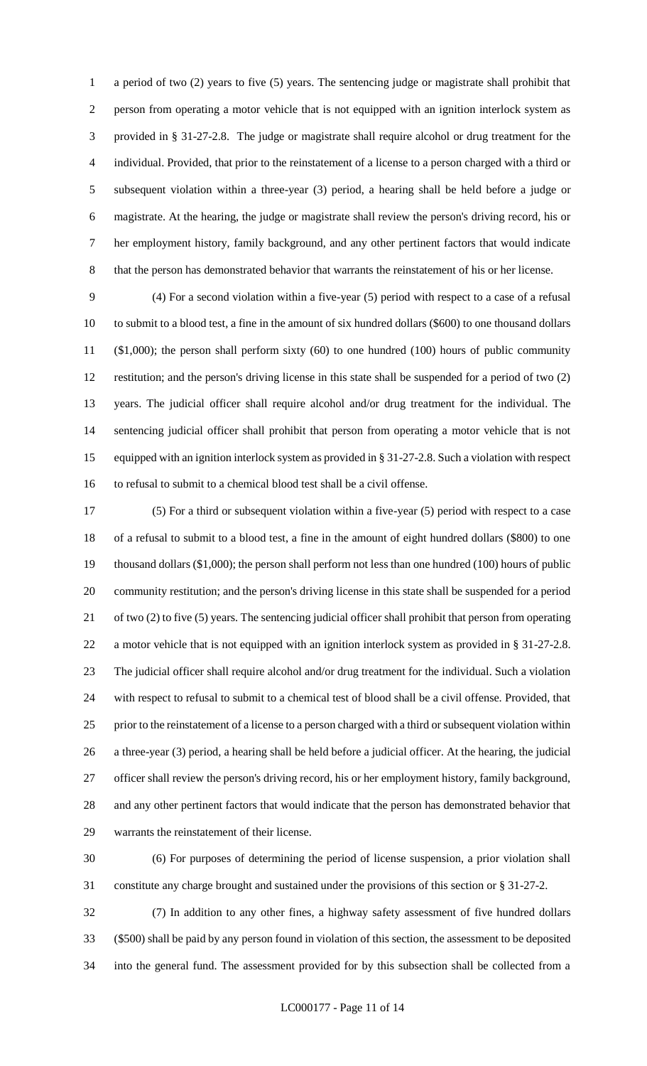a period of two (2) years to five (5) years. The sentencing judge or magistrate shall prohibit that person from operating a motor vehicle that is not equipped with an ignition interlock system as provided in § 31-27-2.8. The judge or magistrate shall require alcohol or drug treatment for the individual. Provided, that prior to the reinstatement of a license to a person charged with a third or subsequent violation within a three-year (3) period, a hearing shall be held before a judge or magistrate. At the hearing, the judge or magistrate shall review the person's driving record, his or her employment history, family background, and any other pertinent factors that would indicate that the person has demonstrated behavior that warrants the reinstatement of his or her license.

 (4) For a second violation within a five-year (5) period with respect to a case of a refusal to submit to a blood test, a fine in the amount of six hundred dollars (\$600) to one thousand dollars (\$1,000); the person shall perform sixty (60) to one hundred (100) hours of public community restitution; and the person's driving license in this state shall be suspended for a period of two (2) years. The judicial officer shall require alcohol and/or drug treatment for the individual. The sentencing judicial officer shall prohibit that person from operating a motor vehicle that is not equipped with an ignition interlock system as provided in § 31-27-2.8. Such a violation with respect to refusal to submit to a chemical blood test shall be a civil offense.

 (5) For a third or subsequent violation within a five-year (5) period with respect to a case of a refusal to submit to a blood test, a fine in the amount of eight hundred dollars (\$800) to one thousand dollars (\$1,000); the person shall perform not less than one hundred (100) hours of public community restitution; and the person's driving license in this state shall be suspended for a period of two (2) to five (5) years. The sentencing judicial officer shall prohibit that person from operating a motor vehicle that is not equipped with an ignition interlock system as provided in § 31-27-2.8. The judicial officer shall require alcohol and/or drug treatment for the individual. Such a violation with respect to refusal to submit to a chemical test of blood shall be a civil offense. Provided, that prior to the reinstatement of a license to a person charged with a third or subsequent violation within a three-year (3) period, a hearing shall be held before a judicial officer. At the hearing, the judicial officer shall review the person's driving record, his or her employment history, family background, and any other pertinent factors that would indicate that the person has demonstrated behavior that warrants the reinstatement of their license.

 (6) For purposes of determining the period of license suspension, a prior violation shall constitute any charge brought and sustained under the provisions of this section or § 31-27-2.

 (7) In addition to any other fines, a highway safety assessment of five hundred dollars (\$500) shall be paid by any person found in violation of this section, the assessment to be deposited into the general fund. The assessment provided for by this subsection shall be collected from a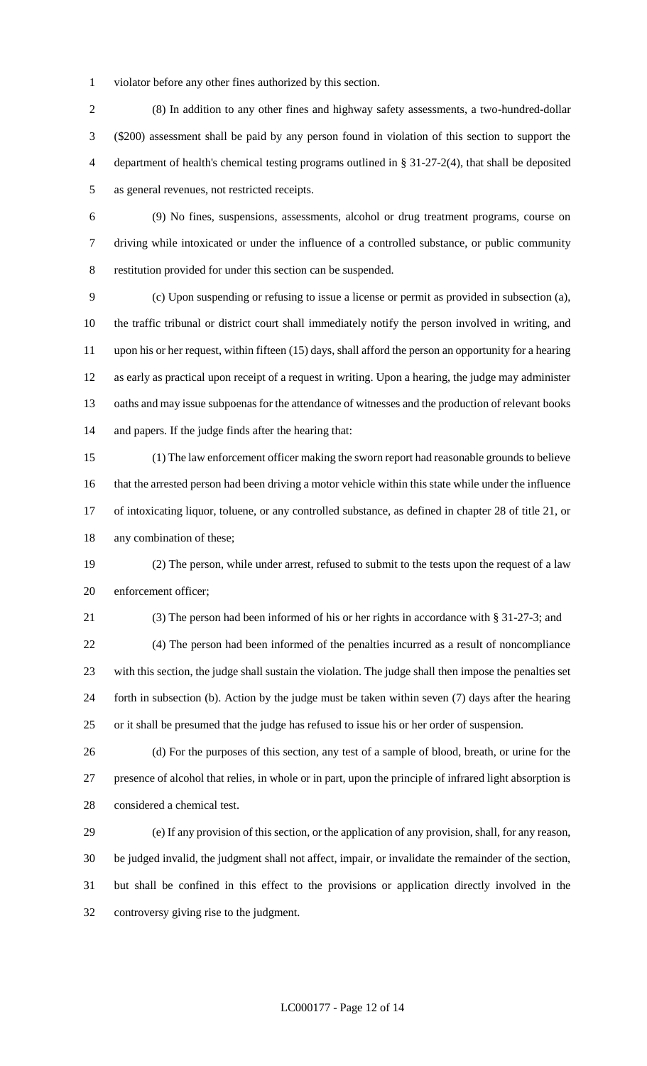violator before any other fines authorized by this section.

 (8) In addition to any other fines and highway safety assessments, a two-hundred-dollar (\$200) assessment shall be paid by any person found in violation of this section to support the department of health's chemical testing programs outlined in § 31-27-2(4), that shall be deposited as general revenues, not restricted receipts.

 (9) No fines, suspensions, assessments, alcohol or drug treatment programs, course on driving while intoxicated or under the influence of a controlled substance, or public community restitution provided for under this section can be suspended.

 (c) Upon suspending or refusing to issue a license or permit as provided in subsection (a), the traffic tribunal or district court shall immediately notify the person involved in writing, and upon his or her request, within fifteen (15) days, shall afford the person an opportunity for a hearing as early as practical upon receipt of a request in writing. Upon a hearing, the judge may administer oaths and may issue subpoenas for the attendance of witnesses and the production of relevant books and papers. If the judge finds after the hearing that:

 (1) The law enforcement officer making the sworn report had reasonable grounds to believe that the arrested person had been driving a motor vehicle within this state while under the influence of intoxicating liquor, toluene, or any controlled substance, as defined in chapter 28 of title 21, or any combination of these;

 (2) The person, while under arrest, refused to submit to the tests upon the request of a law enforcement officer;

(3) The person had been informed of his or her rights in accordance with § 31-27-3; and

 (4) The person had been informed of the penalties incurred as a result of noncompliance with this section, the judge shall sustain the violation. The judge shall then impose the penalties set forth in subsection (b). Action by the judge must be taken within seven (7) days after the hearing or it shall be presumed that the judge has refused to issue his or her order of suspension.

 (d) For the purposes of this section, any test of a sample of blood, breath, or urine for the presence of alcohol that relies, in whole or in part, upon the principle of infrared light absorption is considered a chemical test.

 (e) If any provision of this section, or the application of any provision, shall, for any reason, be judged invalid, the judgment shall not affect, impair, or invalidate the remainder of the section, but shall be confined in this effect to the provisions or application directly involved in the controversy giving rise to the judgment.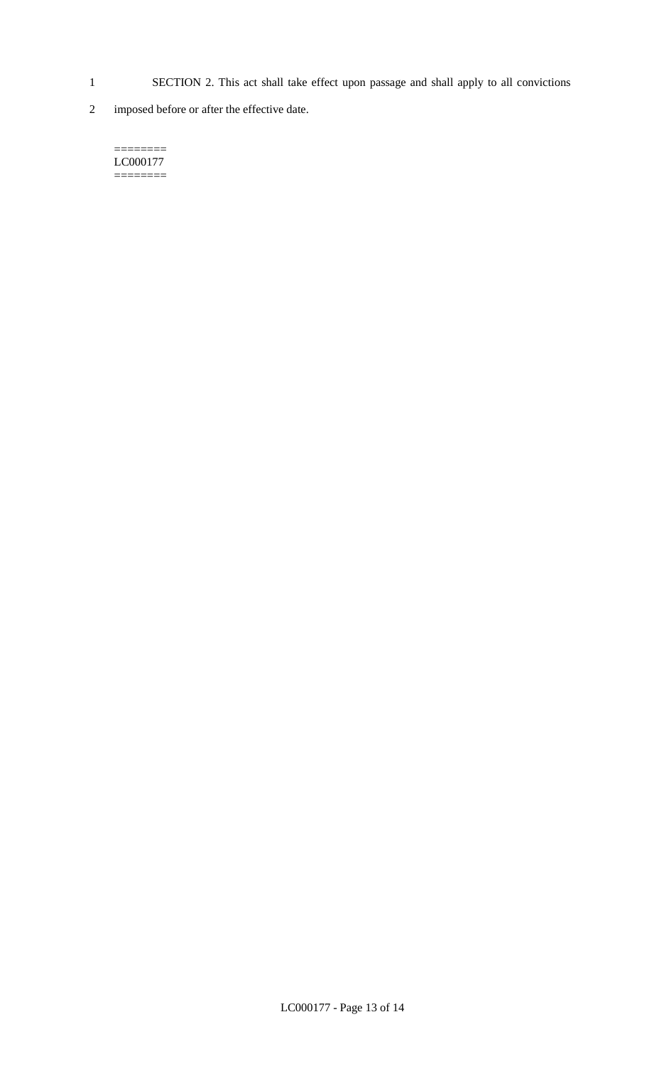- 1 SECTION 2. This act shall take effect upon passage and shall apply to all convictions
- 2 imposed before or after the effective date.

======== LC000177 ========